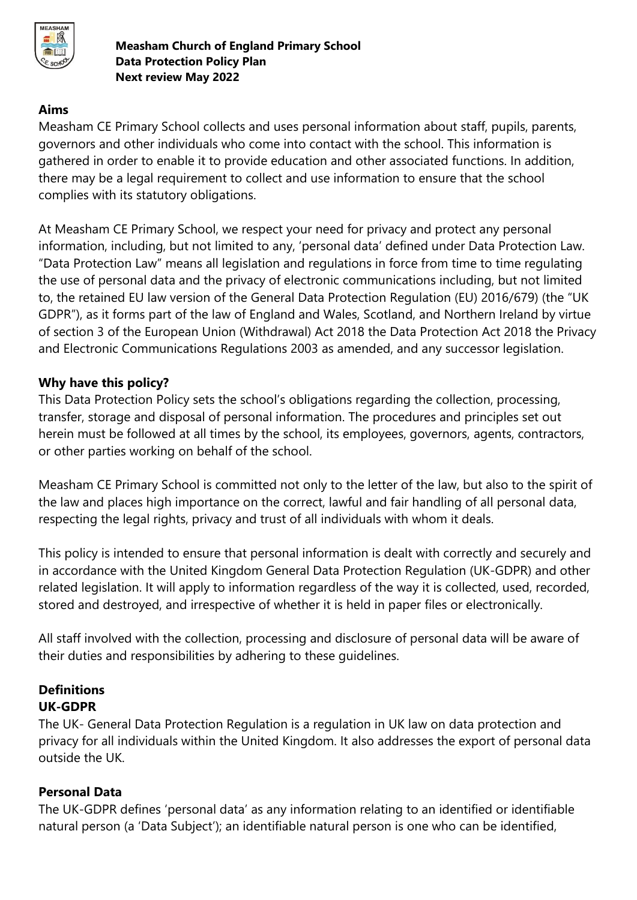

## **Aims**

Measham CE Primary School collects and uses personal information about staff, pupils, parents, governors and other individuals who come into contact with the school. This information is gathered in order to enable it to provide education and other associated functions. In addition, there may be a legal requirement to collect and use information to ensure that the school complies with its statutory obligations.

At Measham CE Primary School, we respect your need for privacy and protect any personal information, including, but not limited to any, 'personal data' defined under Data Protection Law. "Data Protection Law" means all legislation and regulations in force from time to time regulating the use of personal data and the privacy of electronic communications including, but not limited to, the retained EU law version of the General Data Protection Regulation (EU) 2016/679) (the "UK GDPR"), as it forms part of the law of England and Wales, Scotland, and Northern Ireland by virtue of section 3 of the European Union (Withdrawal) Act 2018 the Data Protection Act 2018 the Privacy and Electronic Communications Regulations 2003 as amended, and any successor legislation.

## **Why have this policy?**

This Data Protection Policy sets the school's obligations regarding the collection, processing, transfer, storage and disposal of personal information. The procedures and principles set out herein must be followed at all times by the school, its employees, governors, agents, contractors, or other parties working on behalf of the school.

Measham CE Primary School is committed not only to the letter of the law, but also to the spirit of the law and places high importance on the correct, lawful and fair handling of all personal data, respecting the legal rights, privacy and trust of all individuals with whom it deals.

This policy is intended to ensure that personal information is dealt with correctly and securely and in accordance with the United Kingdom General Data Protection Regulation (UK-GDPR) and other related legislation. It will apply to information regardless of the way it is collected, used, recorded, stored and destroyed, and irrespective of whether it is held in paper files or electronically.

All staff involved with the collection, processing and disclosure of personal data will be aware of their duties and responsibilities by adhering to these guidelines.

## **Definitions UK-GDPR**

The UK- General Data Protection Regulation is a regulation in UK law on data protection and privacy for all individuals within the United Kingdom. It also addresses the export of personal data outside the UK.

# **Personal Data**

The UK-GDPR defines 'personal data' as any information relating to an identified or identifiable natural person (a 'Data Subject'); an identifiable natural person is one who can be identified,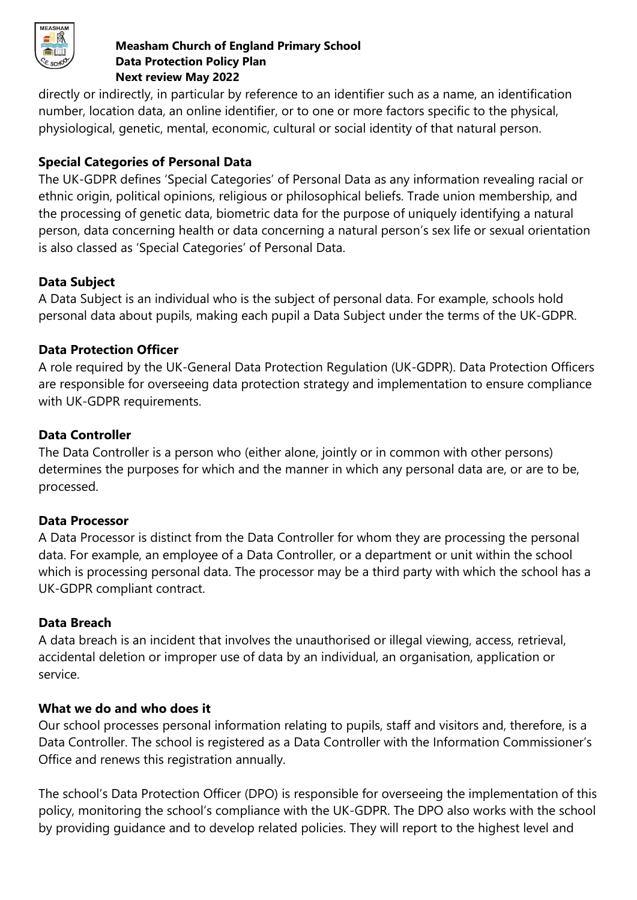

directly or indirectly, in particular by reference to an identifier such as a name, an identification number, location data, an online identifier, or to one or more factors specific to the physical, physiological, genetic, mental, economic, cultural or social identity of that natural person.

# **Special Categories of Personal Data**

The UK-GDPR defines 'Special Categories' of Personal Data as any information revealing racial or ethnic origin, political opinions, religious or philosophical beliefs. Trade union membership, and the processing of genetic data, biometric data for the purpose of uniquely identifying a natural person, data concerning health or data concerning a natural person's sex life or sexual orientation is also classed as 'Special Categories' of Personal Data.

# **Data Subject**

A Data Subject is an individual who is the subject of personal data. For example, schools hold personal data about pupils, making each pupil a Data Subject under the terms of the UK-GDPR.

# **Data Protection Officer**

A role required by the UK-General Data Protection Regulation (UK-GDPR). Data Protection Officers are responsible for overseeing data protection strategy and implementation to ensure compliance with UK-GDPR requirements.

# **Data Controller**

The Data Controller is a person who (either alone, jointly or in common with other persons) determines the purposes for which and the manner in which any personal data are, or are to be, processed.

# **Data Processor**

A Data Processor is distinct from the Data Controller for whom they are processing the personal data. For example, an employee of a Data Controller, or a department or unit within the school which is processing personal data. The processor may be a third party with which the school has a UK-GDPR compliant contract.

# **Data Breach**

A data breach is an incident that involves the unauthorised or illegal viewing, access, retrieval, accidental deletion or improper use of data by an individual, an organisation, application or service.

# **What we do and who does it**

Our school processes personal information relating to pupils, staff and visitors and, therefore, is a Data Controller. The school is registered as a Data Controller with the Information Commissioner's Office and renews this registration annually.

The school's Data Protection Officer (DPO) is responsible for overseeing the implementation of this policy, monitoring the school's compliance with the UK-GDPR. The DPO also works with the school by providing guidance and to develop related policies. They will report to the highest level and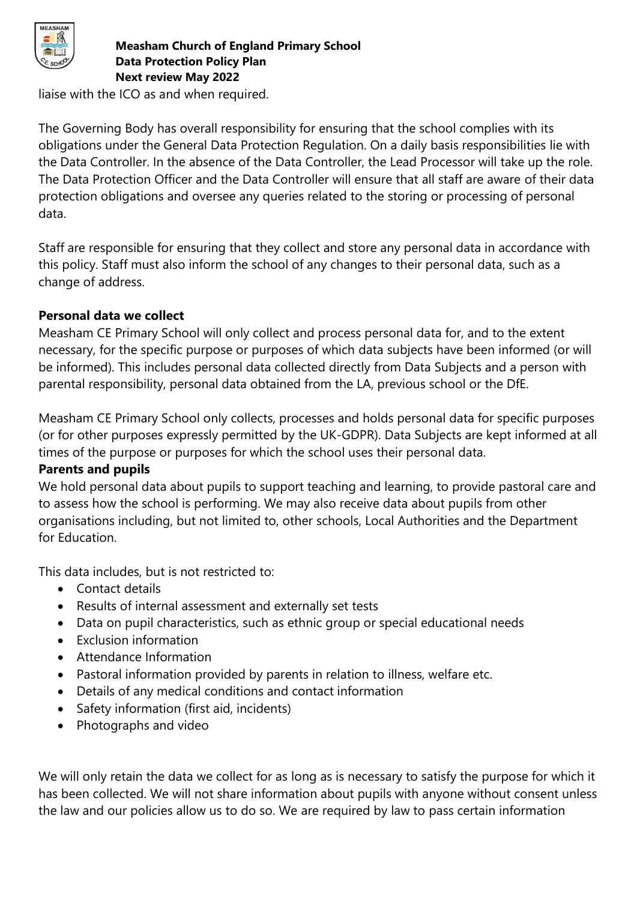

liaise with the ICO as and when required.

The Governing Body has overall responsibility for ensuring that the school complies with its obligations under the General Data Protection Regulation. On a daily basis responsibilities lie with the Data Controller. In the absence of the Data Controller, the Lead Processor will take up the role. The Data Protection Officer and the Data Controller will ensure that all staff are aware of their data protection obligations and oversee any queries related to the storing or processing of personal data.

Staff are responsible for ensuring that they collect and store any personal data in accordance with this policy. Staff must also inform the school of any changes to their personal data, such as a change of address.

## **Personal data we collect**

Measham CE Primary School will only collect and process personal data for, and to the extent necessary, for the specific purpose or purposes of which data subjects have been informed (or will be informed). This includes personal data collected directly from Data Subjects and a person with parental responsibility, personal data obtained from the LA, previous school or the DfE.

Measham CE Primary School only collects, processes and holds personal data for specific purposes (or for other purposes expressly permitted by the UK-GDPR). Data Subjects are kept informed at all times of the purpose or purposes for which the school uses their personal data.

## **Parents and pupils**

We hold personal data about pupils to support teaching and learning, to provide pastoral care and to assess how the school is performing. We may also receive data about pupils from other organisations including, but not limited to, other schools, Local Authorities and the Department for Education.

This data includes, but is not restricted to:

- Contact details
- Results of internal assessment and externally set tests
- Data on pupil characteristics, such as ethnic group or special educational needs
- Exclusion information
- Attendance Information
- Pastoral information provided by parents in relation to illness, welfare etc.
- Details of any medical conditions and contact information
- Safety information (first aid, incidents)
- Photographs and video

We will only retain the data we collect for as long as is necessary to satisfy the purpose for which it has been collected. We will not share information about pupils with anyone without consent unless the law and our policies allow us to do so. We are required by law to pass certain information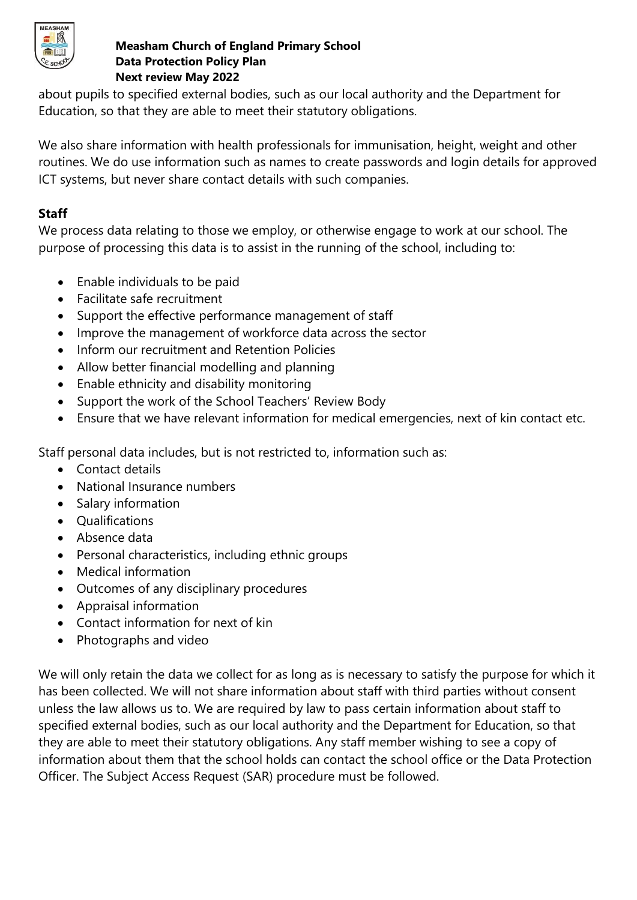

about pupils to specified external bodies, such as our local authority and the Department for Education, so that they are able to meet their statutory obligations.

We also share information with health professionals for immunisation, height, weight and other routines. We do use information such as names to create passwords and login details for approved ICT systems, but never share contact details with such companies.

## **Staff**

We process data relating to those we employ, or otherwise engage to work at our school. The purpose of processing this data is to assist in the running of the school, including to:

- Enable individuals to be paid
- Facilitate safe recruitment
- Support the effective performance management of staff
- Improve the management of workforce data across the sector
- Inform our recruitment and Retention Policies
- Allow better financial modelling and planning
- Enable ethnicity and disability monitoring
- Support the work of the School Teachers' Review Body
- Ensure that we have relevant information for medical emergencies, next of kin contact etc.

Staff personal data includes, but is not restricted to, information such as:

- Contact details
- National Insurance numbers
- Salary information
- Qualifications
- Absence data
- Personal characteristics, including ethnic groups
- Medical information
- Outcomes of any disciplinary procedures
- Appraisal information
- Contact information for next of kin
- Photographs and video

We will only retain the data we collect for as long as is necessary to satisfy the purpose for which it has been collected. We will not share information about staff with third parties without consent unless the law allows us to. We are required by law to pass certain information about staff to specified external bodies, such as our local authority and the Department for Education, so that they are able to meet their statutory obligations. Any staff member wishing to see a copy of information about them that the school holds can contact the school office or the Data Protection Officer. The Subject Access Request (SAR) procedure must be followed.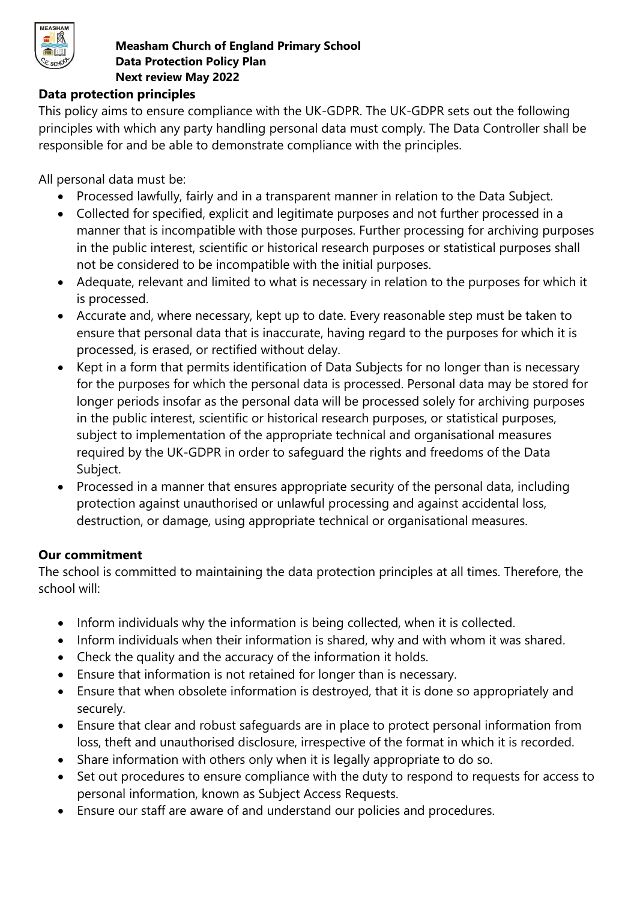

## **Data protection principles**

This policy aims to ensure compliance with the UK-GDPR. The UK-GDPR sets out the following principles with which any party handling personal data must comply. The Data Controller shall be responsible for and be able to demonstrate compliance with the principles.

All personal data must be:

- Processed lawfully, fairly and in a transparent manner in relation to the Data Subject.
- Collected for specified, explicit and legitimate purposes and not further processed in a manner that is incompatible with those purposes. Further processing for archiving purposes in the public interest, scientific or historical research purposes or statistical purposes shall not be considered to be incompatible with the initial purposes.
- Adequate, relevant and limited to what is necessary in relation to the purposes for which it is processed.
- Accurate and, where necessary, kept up to date. Every reasonable step must be taken to ensure that personal data that is inaccurate, having regard to the purposes for which it is processed, is erased, or rectified without delay.
- Kept in a form that permits identification of Data Subjects for no longer than is necessary for the purposes for which the personal data is processed. Personal data may be stored for longer periods insofar as the personal data will be processed solely for archiving purposes in the public interest, scientific or historical research purposes, or statistical purposes, subject to implementation of the appropriate technical and organisational measures required by the UK-GDPR in order to safeguard the rights and freedoms of the Data Subject.
- Processed in a manner that ensures appropriate security of the personal data, including protection against unauthorised or unlawful processing and against accidental loss, destruction, or damage, using appropriate technical or organisational measures.

## **Our commitment**

The school is committed to maintaining the data protection principles at all times. Therefore, the school will:

- Inform individuals why the information is being collected, when it is collected.
- Inform individuals when their information is shared, why and with whom it was shared.
- Check the quality and the accuracy of the information it holds.
- Ensure that information is not retained for longer than is necessary.
- Ensure that when obsolete information is destroyed, that it is done so appropriately and securely.
- Ensure that clear and robust safeguards are in place to protect personal information from loss, theft and unauthorised disclosure, irrespective of the format in which it is recorded.
- Share information with others only when it is legally appropriate to do so.
- Set out procedures to ensure compliance with the duty to respond to requests for access to personal information, known as Subject Access Requests.
- Ensure our staff are aware of and understand our policies and procedures.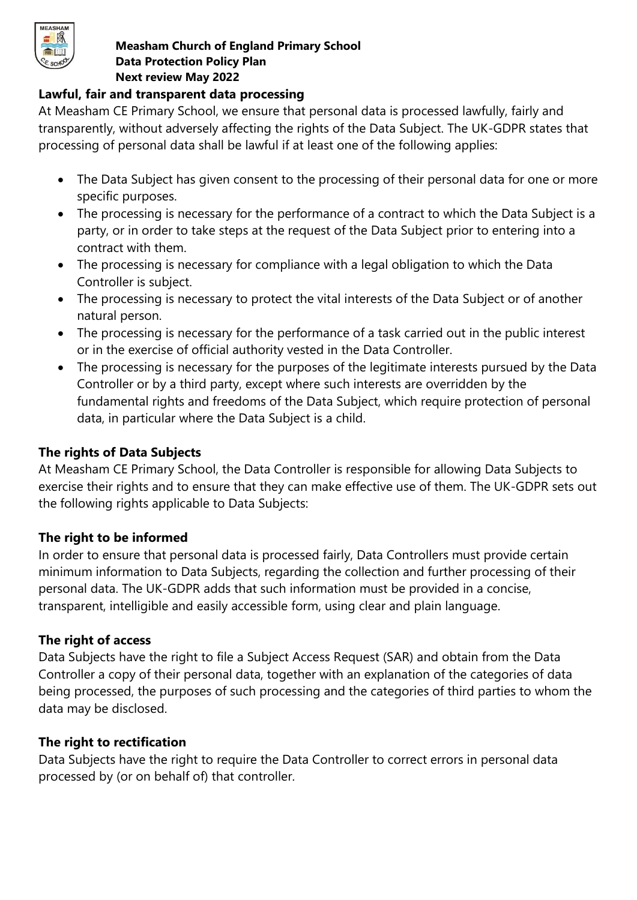

## **Lawful, fair and transparent data processing**

At Measham CE Primary School, we ensure that personal data is processed lawfully, fairly and transparently, without adversely affecting the rights of the Data Subject. The UK-GDPR states that processing of personal data shall be lawful if at least one of the following applies:

- The Data Subject has given consent to the processing of their personal data for one or more specific purposes.
- The processing is necessary for the performance of a contract to which the Data Subject is a party, or in order to take steps at the request of the Data Subject prior to entering into a contract with them.
- The processing is necessary for compliance with a legal obligation to which the Data Controller is subject.
- The processing is necessary to protect the vital interests of the Data Subject or of another natural person.
- The processing is necessary for the performance of a task carried out in the public interest or in the exercise of official authority vested in the Data Controller.
- The processing is necessary for the purposes of the legitimate interests pursued by the Data Controller or by a third party, except where such interests are overridden by the fundamental rights and freedoms of the Data Subject, which require protection of personal data, in particular where the Data Subject is a child.

## **The rights of Data Subjects**

At Measham CE Primary School, the Data Controller is responsible for allowing Data Subjects to exercise their rights and to ensure that they can make effective use of them. The UK-GDPR sets out the following rights applicable to Data Subjects:

## **The right to be informed**

In order to ensure that personal data is processed fairly, Data Controllers must provide certain minimum information to Data Subjects, regarding the collection and further processing of their personal data. The UK-GDPR adds that such information must be provided in a concise, transparent, intelligible and easily accessible form, using clear and plain language.

## **The right of access**

Data Subjects have the right to file a Subject Access Request (SAR) and obtain from the Data Controller a copy of their personal data, together with an explanation of the categories of data being processed, the purposes of such processing and the categories of third parties to whom the data may be disclosed.

## **The right to rectification**

Data Subjects have the right to require the Data Controller to correct errors in personal data processed by (or on behalf of) that controller.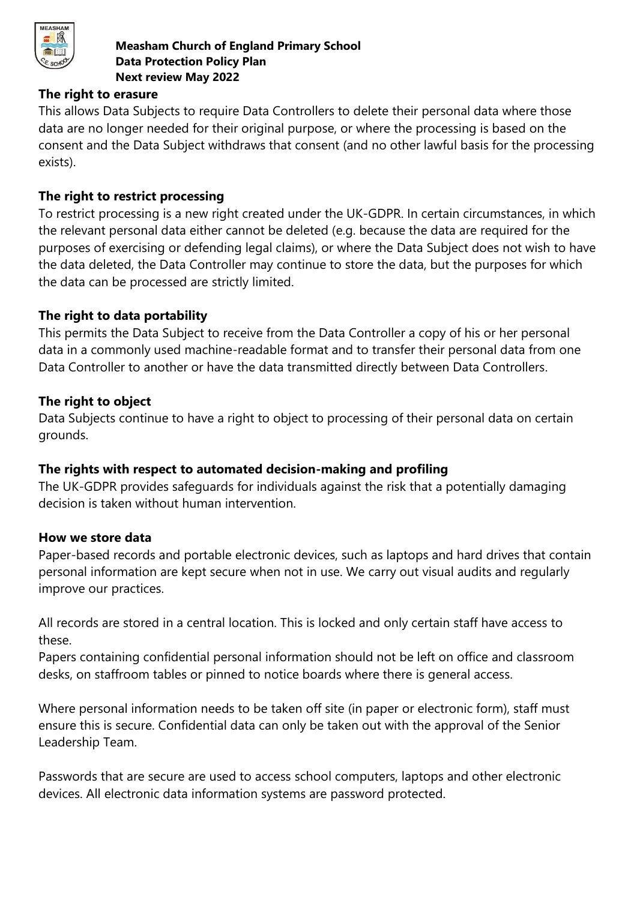

#### **The right to erasure**

This allows Data Subjects to require Data Controllers to delete their personal data where those data are no longer needed for their original purpose, or where the processing is based on the consent and the Data Subject withdraws that consent (and no other lawful basis for the processing exists).

## **The right to restrict processing**

To restrict processing is a new right created under the UK-GDPR. In certain circumstances, in which the relevant personal data either cannot be deleted (e.g. because the data are required for the purposes of exercising or defending legal claims), or where the Data Subject does not wish to have the data deleted, the Data Controller may continue to store the data, but the purposes for which the data can be processed are strictly limited.

#### **The right to data portability**

This permits the Data Subject to receive from the Data Controller a copy of his or her personal data in a commonly used machine-readable format and to transfer their personal data from one Data Controller to another or have the data transmitted directly between Data Controllers.

#### **The right to object**

Data Subjects continue to have a right to object to processing of their personal data on certain grounds.

## **The rights with respect to automated decision-making and profiling**

The UK-GDPR provides safeguards for individuals against the risk that a potentially damaging decision is taken without human intervention.

#### **How we store data**

Paper-based records and portable electronic devices, such as laptops and hard drives that contain personal information are kept secure when not in use. We carry out visual audits and regularly improve our practices.

All records are stored in a central location. This is locked and only certain staff have access to these.

Papers containing confidential personal information should not be left on office and classroom desks, on staffroom tables or pinned to notice boards where there is general access.

Where personal information needs to be taken off site (in paper or electronic form), staff must ensure this is secure. Confidential data can only be taken out with the approval of the Senior Leadership Team.

Passwords that are secure are used to access school computers, laptops and other electronic devices. All electronic data information systems are password protected.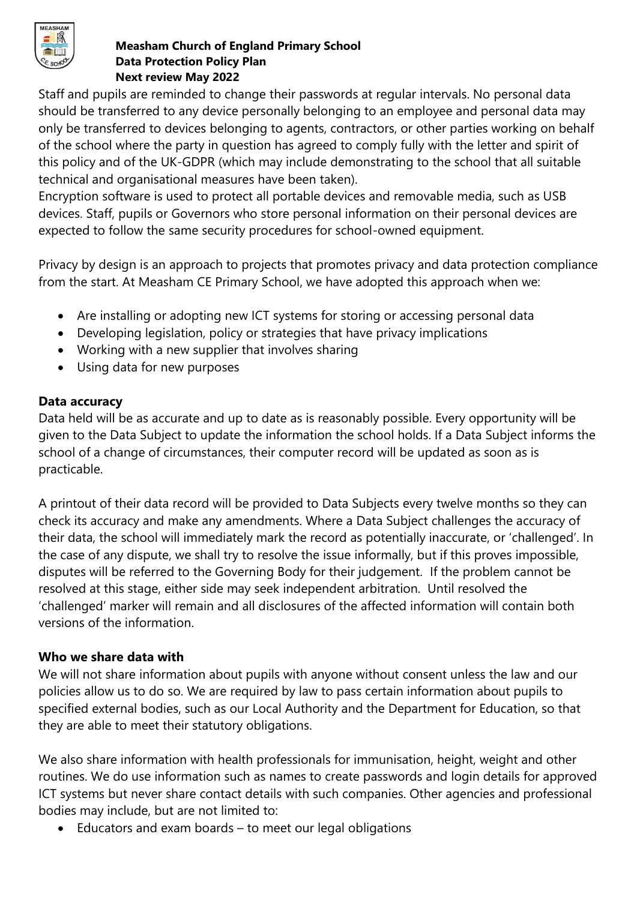

Staff and pupils are reminded to change their passwords at regular intervals. No personal data should be transferred to any device personally belonging to an employee and personal data may only be transferred to devices belonging to agents, contractors, or other parties working on behalf of the school where the party in question has agreed to comply fully with the letter and spirit of this policy and of the UK-GDPR (which may include demonstrating to the school that all suitable technical and organisational measures have been taken).

Encryption software is used to protect all portable devices and removable media, such as USB devices. Staff, pupils or Governors who store personal information on their personal devices are expected to follow the same security procedures for school-owned equipment.

Privacy by design is an approach to projects that promotes privacy and data protection compliance from the start. At Measham CE Primary School, we have adopted this approach when we:

- Are installing or adopting new ICT systems for storing or accessing personal data
- Developing legislation, policy or strategies that have privacy implications
- Working with a new supplier that involves sharing
- Using data for new purposes

## **Data accuracy**

Data held will be as accurate and up to date as is reasonably possible. Every opportunity will be given to the Data Subject to update the information the school holds. If a Data Subject informs the school of a change of circumstances, their computer record will be updated as soon as is practicable.

A printout of their data record will be provided to Data Subjects every twelve months so they can check its accuracy and make any amendments. Where a Data Subject challenges the accuracy of their data, the school will immediately mark the record as potentially inaccurate, or 'challenged'. In the case of any dispute, we shall try to resolve the issue informally, but if this proves impossible, disputes will be referred to the Governing Body for their judgement. If the problem cannot be resolved at this stage, either side may seek independent arbitration. Until resolved the 'challenged' marker will remain and all disclosures of the affected information will contain both versions of the information.

# **Who we share data with**

We will not share information about pupils with anyone without consent unless the law and our policies allow us to do so. We are required by law to pass certain information about pupils to specified external bodies, such as our Local Authority and the Department for Education, so that they are able to meet their statutory obligations.

We also share information with health professionals for immunisation, height, weight and other routines. We do use information such as names to create passwords and login details for approved ICT systems but never share contact details with such companies. Other agencies and professional bodies may include, but are not limited to:

Educators and exam boards – to meet our legal obligations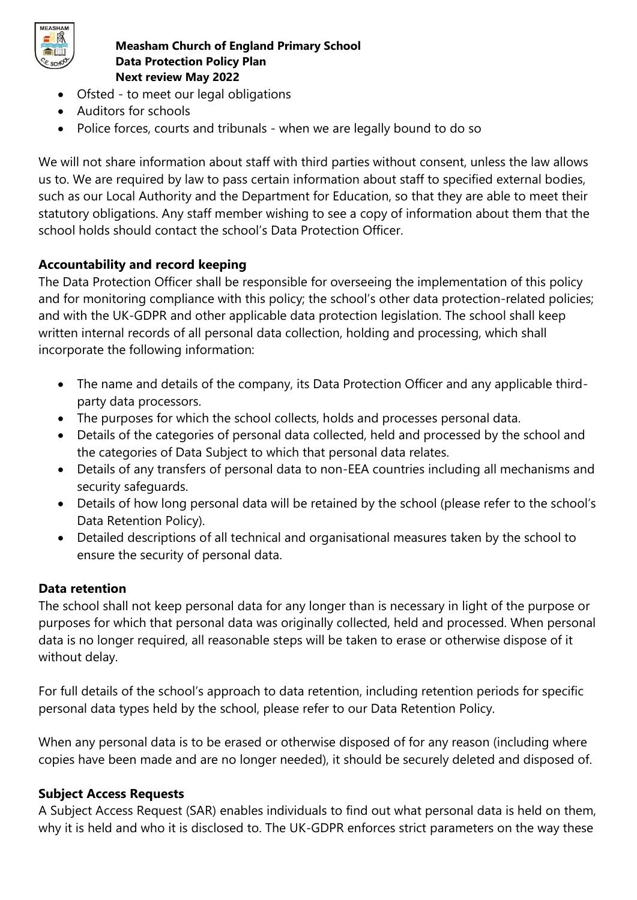

- Ofsted to meet our legal obligations
- Auditors for schools
- Police forces, courts and tribunals when we are legally bound to do so

We will not share information about staff with third parties without consent, unless the law allows us to. We are required by law to pass certain information about staff to specified external bodies, such as our Local Authority and the Department for Education, so that they are able to meet their statutory obligations. Any staff member wishing to see a copy of information about them that the school holds should contact the school's Data Protection Officer.

# **Accountability and record keeping**

The Data Protection Officer shall be responsible for overseeing the implementation of this policy and for monitoring compliance with this policy; the school's other data protection-related policies; and with the UK-GDPR and other applicable data protection legislation. The school shall keep written internal records of all personal data collection, holding and processing, which shall incorporate the following information:

- The name and details of the company, its Data Protection Officer and any applicable thirdparty data processors.
- The purposes for which the school collects, holds and processes personal data.
- Details of the categories of personal data collected, held and processed by the school and the categories of Data Subject to which that personal data relates.
- Details of any transfers of personal data to non-EEA countries including all mechanisms and security safeguards.
- Details of how long personal data will be retained by the school (please refer to the school's Data Retention Policy).
- Detailed descriptions of all technical and organisational measures taken by the school to ensure the security of personal data.

# **Data retention**

The school shall not keep personal data for any longer than is necessary in light of the purpose or purposes for which that personal data was originally collected, held and processed. When personal data is no longer required, all reasonable steps will be taken to erase or otherwise dispose of it without delay.

For full details of the school's approach to data retention, including retention periods for specific personal data types held by the school, please refer to our Data Retention Policy.

When any personal data is to be erased or otherwise disposed of for any reason (including where copies have been made and are no longer needed), it should be securely deleted and disposed of.

# **Subject Access Requests**

A Subject Access Request (SAR) enables individuals to find out what personal data is held on them, why it is held and who it is disclosed to. The UK-GDPR enforces strict parameters on the way these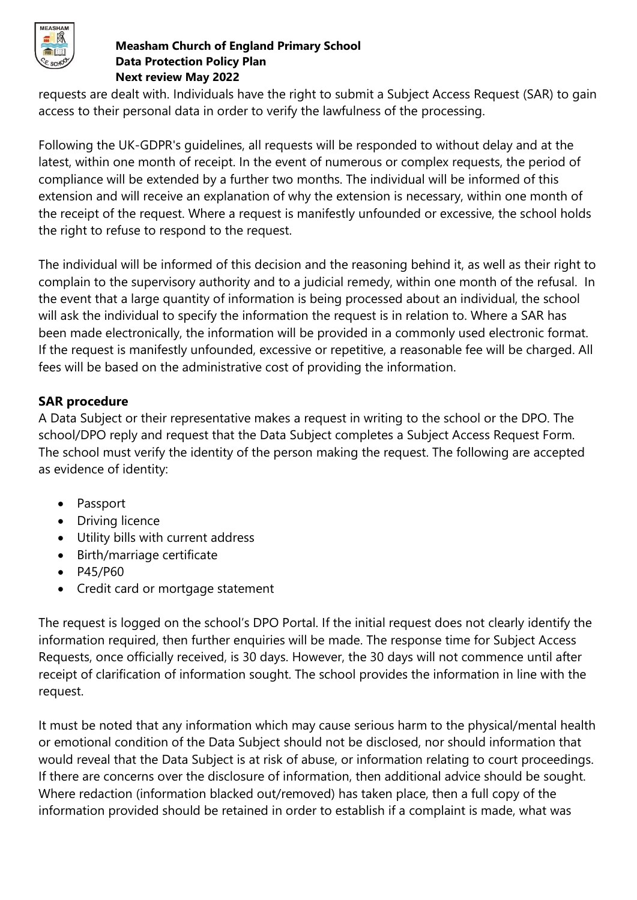

requests are dealt with. Individuals have the right to submit a Subject Access Request (SAR) to gain access to their personal data in order to verify the lawfulness of the processing.

Following the UK-GDPR's guidelines, all requests will be responded to without delay and at the latest, within one month of receipt. In the event of numerous or complex requests, the period of compliance will be extended by a further two months. The individual will be informed of this extension and will receive an explanation of why the extension is necessary, within one month of the receipt of the request. Where a request is manifestly unfounded or excessive, the school holds the right to refuse to respond to the request.

The individual will be informed of this decision and the reasoning behind it, as well as their right to complain to the supervisory authority and to a judicial remedy, within one month of the refusal. In the event that a large quantity of information is being processed about an individual, the school will ask the individual to specify the information the request is in relation to. Where a SAR has been made electronically, the information will be provided in a commonly used electronic format. If the request is manifestly unfounded, excessive or repetitive, a reasonable fee will be charged. All fees will be based on the administrative cost of providing the information.

## **SAR procedure**

A Data Subject or their representative makes a request in writing to the school or the DPO. The school/DPO reply and request that the Data Subject completes a Subject Access Request Form. The school must verify the identity of the person making the request. The following are accepted as evidence of identity:

- Passport
- Driving licence
- Utility bills with current address
- Birth/marriage certificate
- P45/P60
- Credit card or mortgage statement

The request is logged on the school's DPO Portal. If the initial request does not clearly identify the information required, then further enquiries will be made. The response time for Subject Access Requests, once officially received, is 30 days. However, the 30 days will not commence until after receipt of clarification of information sought. The school provides the information in line with the request.

It must be noted that any information which may cause serious harm to the physical/mental health or emotional condition of the Data Subject should not be disclosed, nor should information that would reveal that the Data Subject is at risk of abuse, or information relating to court proceedings. If there are concerns over the disclosure of information, then additional advice should be sought. Where redaction (information blacked out/removed) has taken place, then a full copy of the information provided should be retained in order to establish if a complaint is made, what was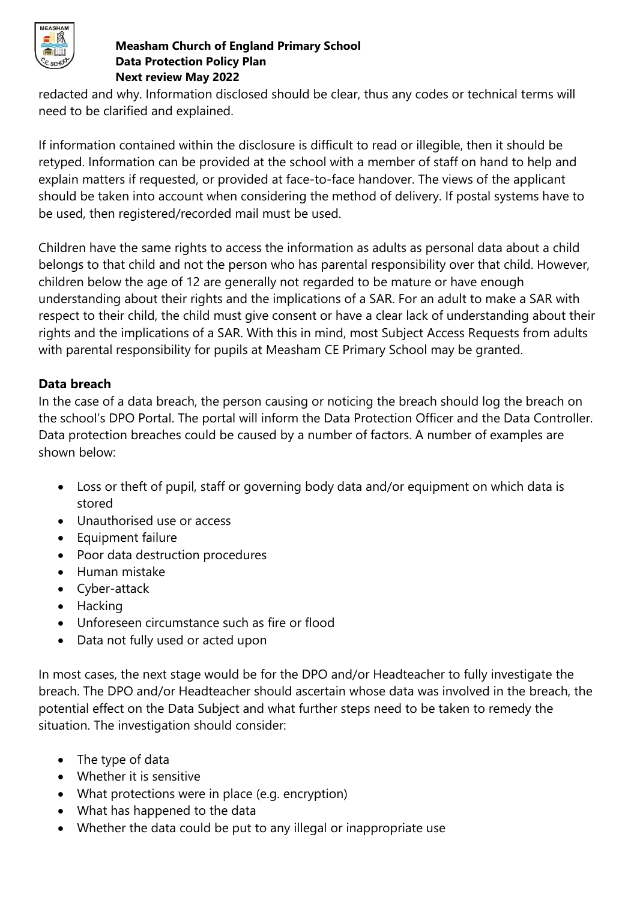

redacted and why. Information disclosed should be clear, thus any codes or technical terms will need to be clarified and explained.

If information contained within the disclosure is difficult to read or illegible, then it should be retyped. Information can be provided at the school with a member of staff on hand to help and explain matters if requested, or provided at face-to-face handover. The views of the applicant should be taken into account when considering the method of delivery. If postal systems have to be used, then registered/recorded mail must be used.

Children have the same rights to access the information as adults as personal data about a child belongs to that child and not the person who has parental responsibility over that child. However, children below the age of 12 are generally not regarded to be mature or have enough understanding about their rights and the implications of a SAR. For an adult to make a SAR with respect to their child, the child must give consent or have a clear lack of understanding about their rights and the implications of a SAR. With this in mind, most Subject Access Requests from adults with parental responsibility for pupils at Measham CE Primary School may be granted.

# **Data breach**

In the case of a data breach, the person causing or noticing the breach should log the breach on the school's DPO Portal. The portal will inform the Data Protection Officer and the Data Controller. Data protection breaches could be caused by a number of factors. A number of examples are shown below:

- Loss or theft of pupil, staff or governing body data and/or equipment on which data is stored
- Unauthorised use or access
- Equipment failure
- Poor data destruction procedures
- Human mistake
- Cyber-attack
- Hacking
- Unforeseen circumstance such as fire or flood
- Data not fully used or acted upon

In most cases, the next stage would be for the DPO and/or Headteacher to fully investigate the breach. The DPO and/or Headteacher should ascertain whose data was involved in the breach, the potential effect on the Data Subject and what further steps need to be taken to remedy the situation. The investigation should consider:

- The type of data
- Whether it is sensitive
- What protections were in place (e.g. encryption)
- What has happened to the data
- Whether the data could be put to any illegal or inappropriate use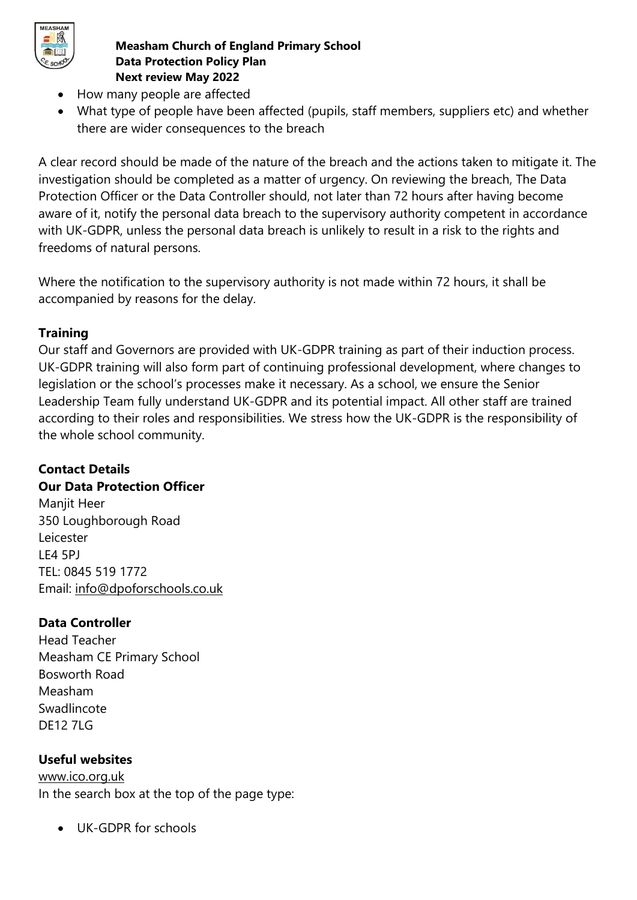

- How many people are affected
- What type of people have been affected (pupils, staff members, suppliers etc) and whether there are wider consequences to the breach

A clear record should be made of the nature of the breach and the actions taken to mitigate it. The investigation should be completed as a matter of urgency. On reviewing the breach, The Data Protection Officer or the Data Controller should, not later than 72 hours after having become aware of it, notify the personal data breach to the supervisory authority competent in accordance with UK-GDPR, unless the personal data breach is unlikely to result in a risk to the rights and freedoms of natural persons.

Where the notification to the supervisory authority is not made within 72 hours, it shall be accompanied by reasons for the delay.

# **Training**

Our staff and Governors are provided with UK-GDPR training as part of their induction process. UK-GDPR training will also form part of continuing professional development, where changes to legislation or the school's processes make it necessary. As a school, we ensure the Senior Leadership Team fully understand UK-GDPR and its potential impact. All other staff are trained according to their roles and responsibilities. We stress how the UK-GDPR is the responsibility of the whole school community.

# **Contact Details**

## **Our Data Protection Officer**

Manjit Heer 350 Loughborough Road Leicester LE4 5PJ TEL: 0845 519 1772 Email: [info@dpoforschools.co.uk](mailto:info@dpoforschools.co.uk)

# **Data Controller**

Head Teacher Measham CE Primary School Bosworth Road Measham Swadlincote DE12 7LG

# **Useful websites**

[www.ico.org.uk](http://www.ico.org.uk/) In the search box at the top of the page type:

• UK-GDPR for schools